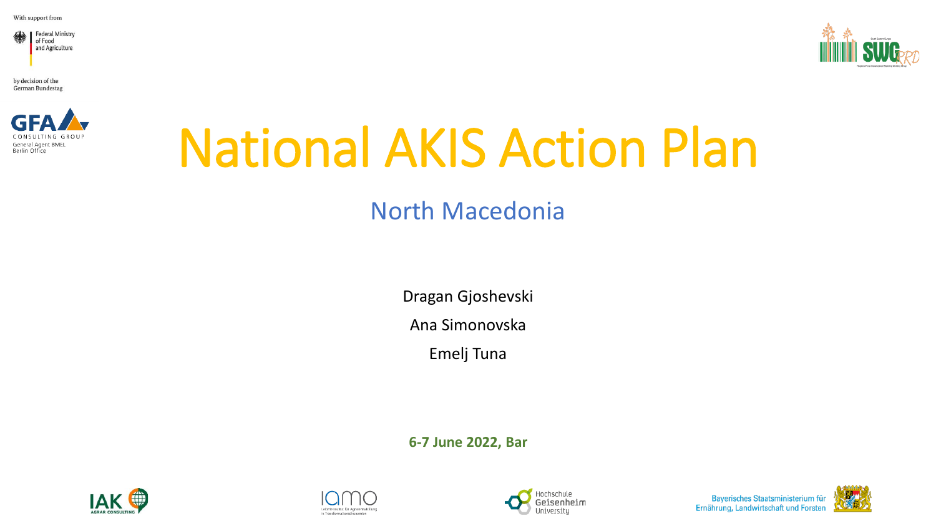With support from





by decision of the **German Bundestag** 



# National AKIS Action Plan

## North Macedonia

Dragan Gjoshevski

Ana Simonovska

Emelj Tuna

**6-7 June 2022, Bar**







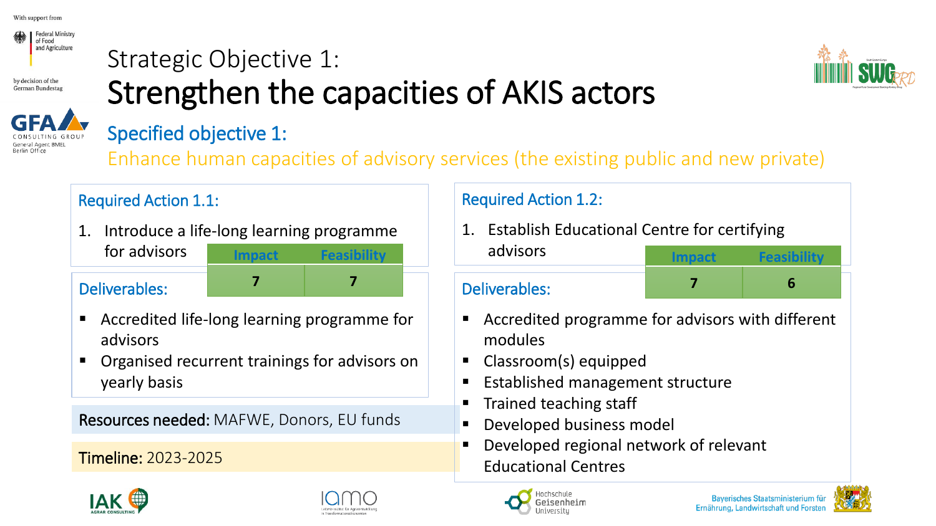

## Strategic Objective 1: Strengthen the capacities of AKIS actors





### Specified objective 1:

Enhance human capacities of advisory services (the existing public and new private)

### Required Action 1.1:

1. Introduce a life-long learning programme for advisors advisors **Impact Feasibility**

### Deliverables:

- Accredited life-long learning programme for advisors
- Organised recurrent trainings for advisors on yearly basis

Resources needed: MAFWE, Donors, EU funds

Timeline: 2023-2025



1. Establish Educational Centre for certifying

### **<sup>7</sup> <sup>7</sup>** Deliverables:

Accredited programme for advisors with different modules

- Classroom(s) equipped
- **Established management structure**
- Trained teaching staff
- Developed business model
- Developed regional network of relevant Educational Centres









**Impact Feasibility**

**7 6**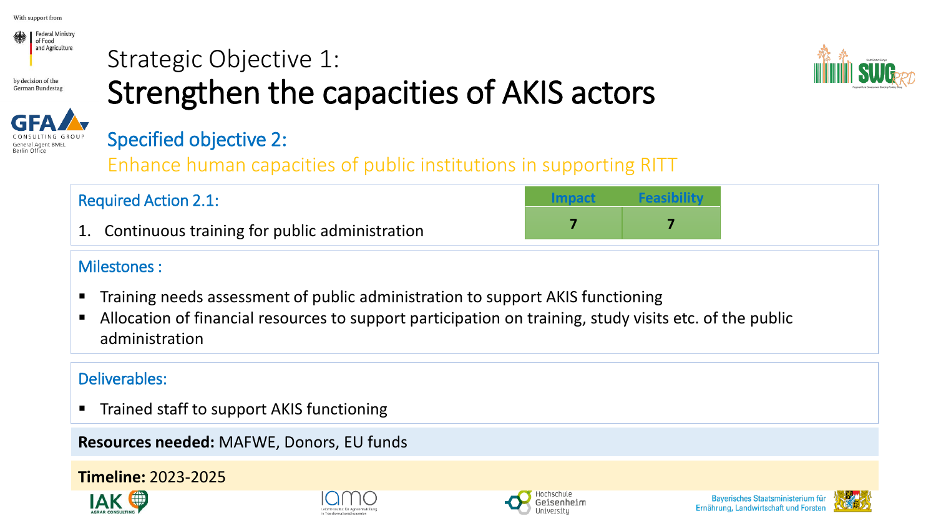

Berlin Office

## Strategic Objective 1: Strengthen the capacities of AKIS actors



### Specified objective 2:

Enhance human capacities of public institutions in supporting RITT

### Required Action 2.1:

1. Continuous training for public administration

### Milestones :

- Training needs assessment of public administration to support AKIS functioning
- Allocation of financial resources to support participation on training, study visits etc. of the public administration

### Deliverables:

■ Trained staff to support AKIS functioning

**Resources needed:** MAFWE, Donors, EU funds

### **Timeline:** 2023-2025











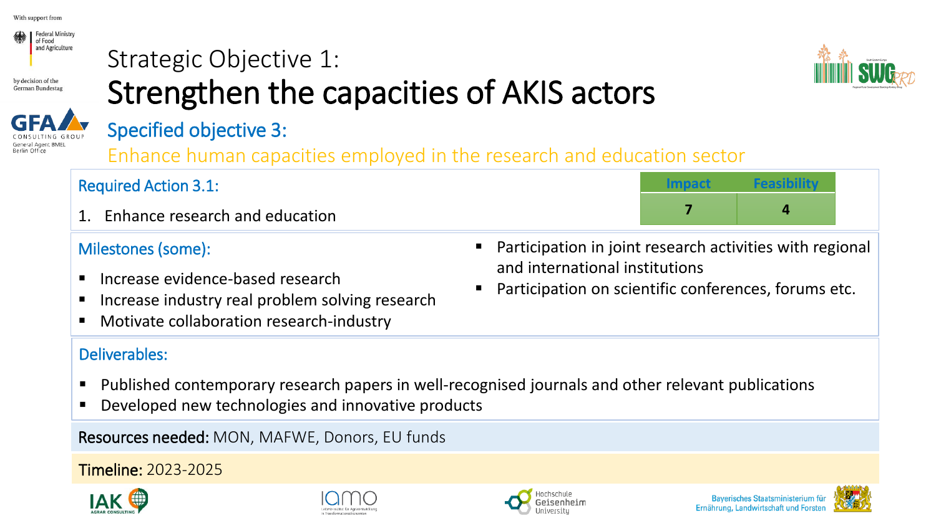



## Strategic Objective 1: Strengthen the capacities of AKIS actors



### Specified objective 3:

Enhance human capacities employed in the research and education sector

| <b>Required Action 3.1:</b>    |  |
|--------------------------------|--|
| Enhance research and education |  |

### Milestones (some):

- **E** Increase evidence-based research
- Increase industry real problem solving research
- Motivate collaboration research-industry

### Deliverables:

- Published contemporary research papers in well-recognised journals and other relevant publications
- Developed new technologies and innovative products

Resources needed: MON, MAFWE, Donors, EU funds

Timeline: 2023-2025









Participation on scientific conferences, forums etc.



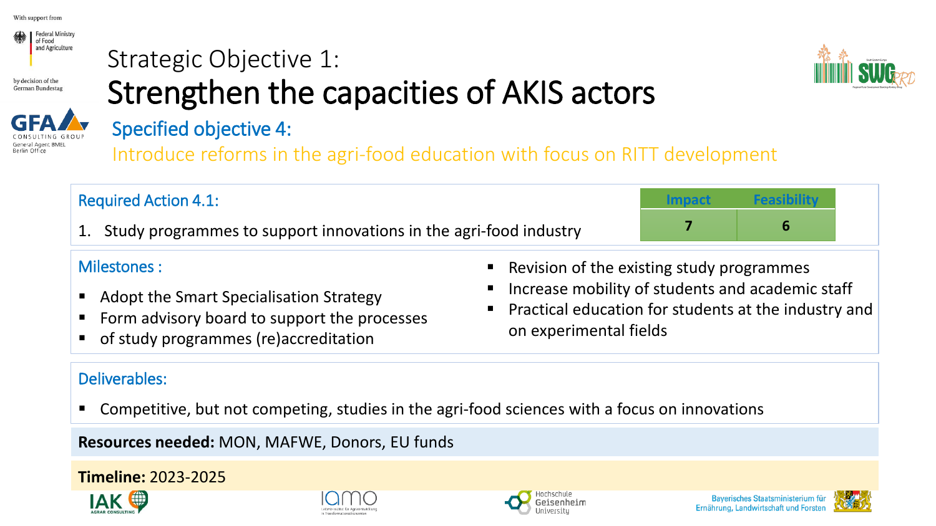



## Strategic Objective 1: Strengthen the capacities of AKIS actors



## Specified objective 4:

Introduce reforms in the agri-food education with focus on RITT development

| <b>Required Action 4.1:</b>                                          |  |
|----------------------------------------------------------------------|--|
| 1. Study programmes to support innovations in the agri-food industry |  |
|                                                                      |  |

### Milestones :

- Adopt the Smart Specialisation Strategy
- Form advisory board to support the processes
- of study programmes (re)accreditation
- Deliverables:
- Revision of the existing study programmes
- Increase mobility of students and academic staff
- Practical education for students at the industry and on experimental fields

■ Competitive, but not competing, studies in the agri-food sciences with a focus on innovations

**Resources needed:** MON, MAFWE, Donors, EU funds

### **Timeline:** 2023-2025









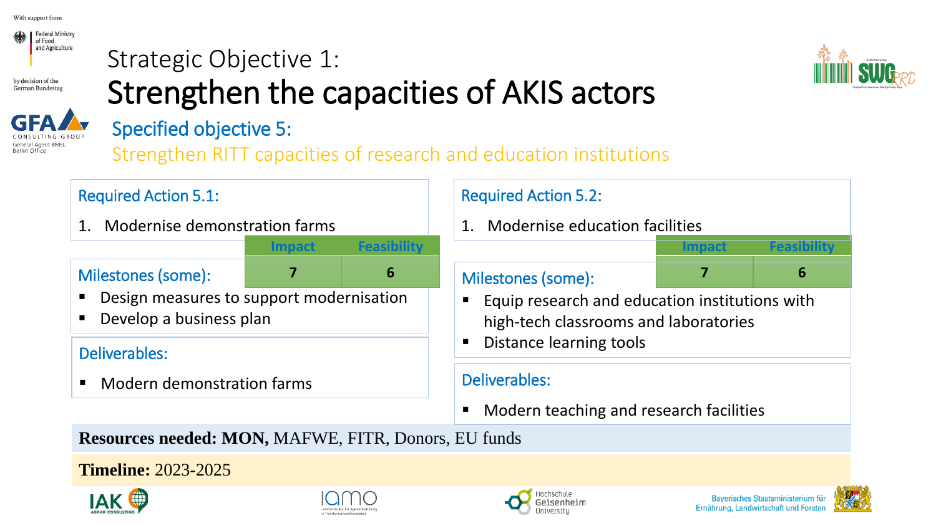





## Specified objective 5:

Strategic Objective 1:

Strengthen RITT capacities of research and education institutions

Strengthen the capacities of AKIS actors

### Required Action 5.1:

1. Modernise demonstration farms

### Milestones (some):

**Impact Feasibility**

- Design measures to support modernisation
- Develop a business plan

### Deliverables:

■ Modern demonstration farms

### Required Action 5.2:

1. Modernise education facilities

### **7 6** Milestones (some):

- **Impact** Feasibili **7 6**
- Equip research and education institutions with high-tech classrooms and laboratories
- **Distance learning tools**

### Deliverables:

Modern teaching and research facilities

**Resources needed: MON,** MAFWE, FITR, Donors, EU funds

**Timeline:** 2023-2025







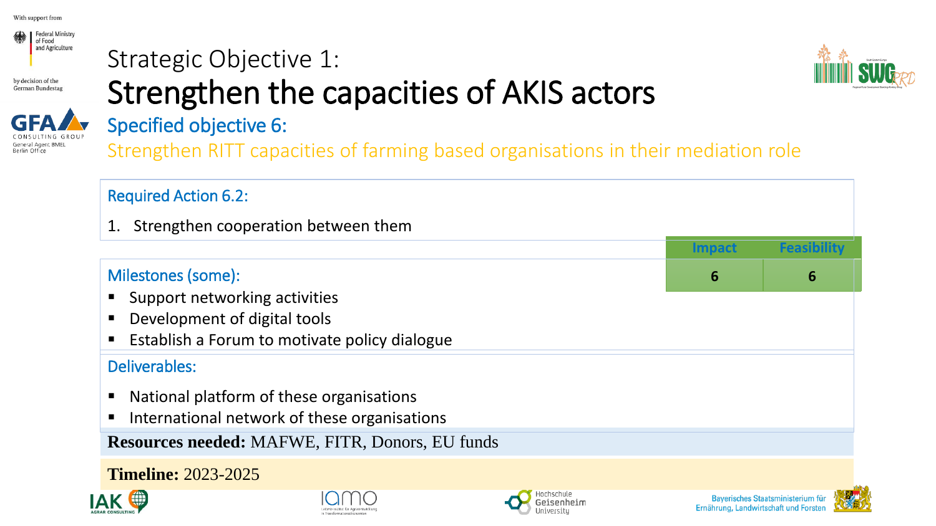

## Strategic Objective 1: Strengthen the capacities of AKIS actors





# Specified objective 6:

Strengthen RITT capacities of farming based organisations in their mediation role





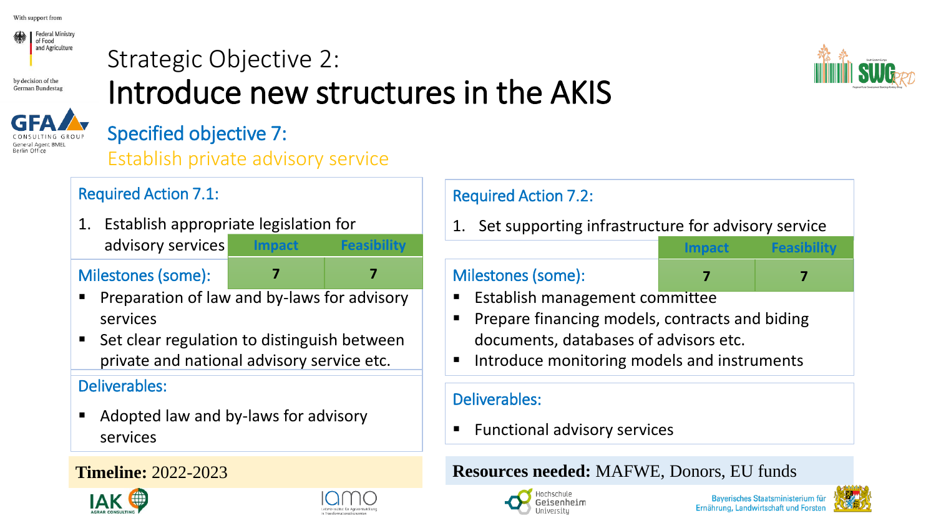

## Strategic Objective 2: Introduce new structures in the AKIS



## Specified objective 7:

Establish private advisory service

### Required Action 7.1:

1. Establish appropriate legislation for advisory services **Impact Feasibility**

### Milestones (some):

- **7 7**
- Preparation of law and by-laws for advisory services
- Set clear regulation to distinguish between private and national advisory service etc.

### Deliverables:

■ Adopted law and by-laws for advisory services





### Required Action 7.2:

Set supporting infrastructure for advisory service

### Milestones (some):

**Impact Feasibility 7 7**

- **Establish management committee**
- Prepare financing models, contracts and biding documents, databases of advisors etc.
- Introduce monitoring models and instruments

### Deliverables:

**Functional advisory services** 

### **Timeline:** 2022-2023 **Resources needed:** MAFWE, Donors, EU funds



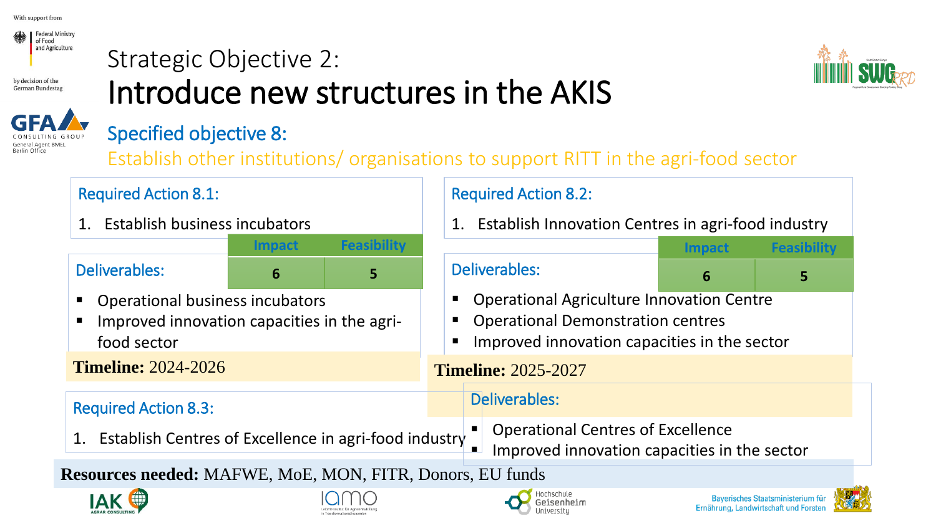

#### Strategic Objective 2: by decision of the Introduce new structures in the AKIS German Bundestag





### Specified objective 8:

Establish other institutions/ organisations to support RITT in the agri-food sector

| <b>Required Action 8.1:</b>                                                                                                                                               | <b>Required Action 8.2:</b>                                                                                                                                                                                                           |                                                          |                      |               |             |
|---------------------------------------------------------------------------------------------------------------------------------------------------------------------------|---------------------------------------------------------------------------------------------------------------------------------------------------------------------------------------------------------------------------------------|----------------------------------------------------------|----------------------|---------------|-------------|
| Establish business incubators<br>1.                                                                                                                                       |                                                                                                                                                                                                                                       | Establish Innovation Centres in agri-food industry<br>1. |                      |               |             |
|                                                                                                                                                                           | Impact                                                                                                                                                                                                                                | <b>Feasibility</b>                                       |                      | <b>Impact</b> | Feasibility |
| <b>Deliverables:</b>                                                                                                                                                      | 6                                                                                                                                                                                                                                     | 5                                                        | Deliverables:        | 6             | 5           |
| food sector                                                                                                                                                               | <b>Operational Agriculture Innovation Centre</b><br><b>Operational business incubators</b><br><b>Operational Demonstration centres</b><br>Improved innovation capacities in the agri-<br>Improved innovation capacities in the sector |                                                          |                      |               |             |
| <b>Timeline: 2024-2026</b><br><b>Timeline: 2025-2027</b>                                                                                                                  |                                                                                                                                                                                                                                       |                                                          |                      |               |             |
| <b>Required Action 8.3:</b>                                                                                                                                               |                                                                                                                                                                                                                                       |                                                          | <b>Deliverables:</b> |               |             |
| <b>Operational Centres of Excellence</b><br>Establish Centres of Excellence in agri-food industry<br>1.<br>$\blacksquare$<br>Improved innovation capacities in the sector |                                                                                                                                                                                                                                       |                                                          |                      |               |             |
| <b>Resources needed: MAFWE, MoE, MON, FITR, Donors, EU funds</b>                                                                                                          |                                                                                                                                                                                                                                       |                                                          |                      |               |             |







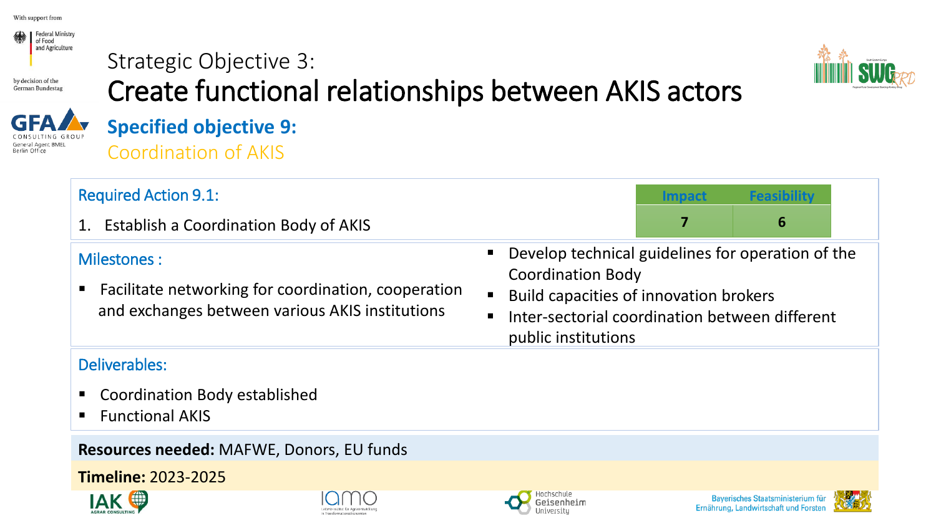

## Strategic Objective 3: Create functional relationships between AKIS actors





## **Specified objective 9:** Coordination of AKIS

| <b>Required Action 9.1:</b>                                                                                              | Feasibility<br>Impact                                                                                                                                                                            |
|--------------------------------------------------------------------------------------------------------------------------|--------------------------------------------------------------------------------------------------------------------------------------------------------------------------------------------------|
| 1. Establish a Coordination Body of AKIS                                                                                 | 7<br>6                                                                                                                                                                                           |
| Milestones :<br>■ Facilitate networking for coordination, cooperation<br>and exchanges between various AKIS institutions | Develop technical guidelines for operation of the<br><b>Coordination Body</b><br>Build capacities of innovation brokers<br>Inter-sectorial coordination between different<br>public institutions |
| Deliverables:                                                                                                            |                                                                                                                                                                                                  |
| • Coordination Body established<br><b>Functional AKIS</b>                                                                |                                                                                                                                                                                                  |
| Resources needed: MAFWE, Donors, EU funds                                                                                |                                                                                                                                                                                                  |
| <b>Timeline: 2023-2025</b>                                                                                               |                                                                                                                                                                                                  |







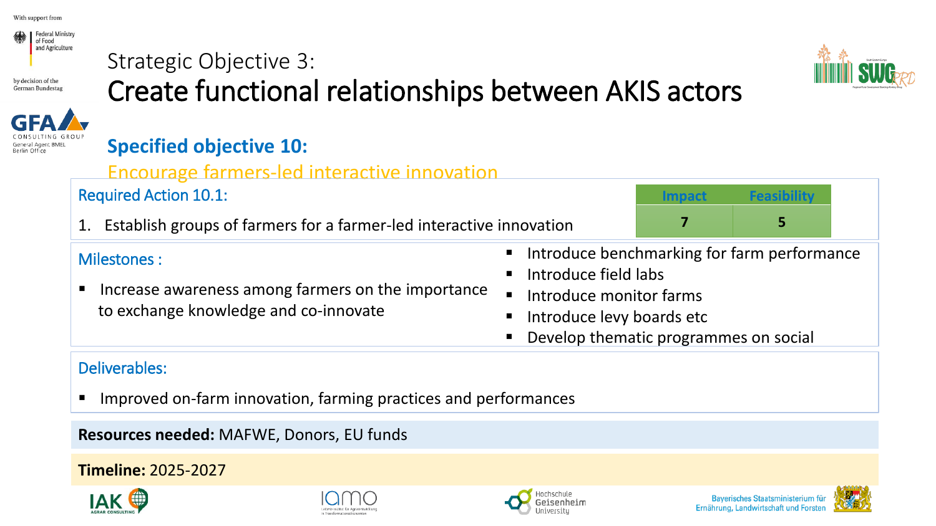

## Strategic Objective 3: Create functional relationships between AKIS actors



### **Specified objective 10:**

### Encourage farmers-led interactive innovation

### Required Action 10.1:

1. Establish groups of farmers for a farmer-led interactive innovation

## **Impact 7 5**

### Milestones :

- Increase awareness among farmers on the importance to exchange knowledge and co-innovate
- Introduce benchmarking for farm performance
- Introduce field labs
- Introduce monitor farms
- Introduce levy boards etc
- Develop thematic programmes on social

### Deliverables:

Improved on-farm innovation, farming practices and performances

**Resources needed:** MAFWE, Donors, EU funds











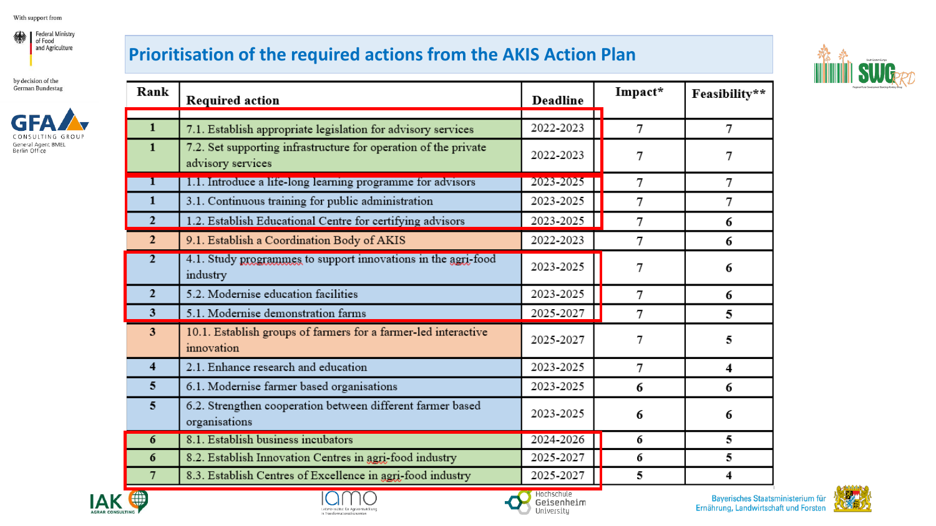



### **Prioritisation of the required actions from the AKIS Action Plan**



| Rank                    | <b>Required action</b>                                                               | Deadline  | Impact*        | Feasibility** |
|-------------------------|--------------------------------------------------------------------------------------|-----------|----------------|---------------|
| 1                       | 7.1. Establish appropriate legislation for advisory services                         | 2022-2023 | $\tau$         | 7             |
| 1                       | 7.2. Set supporting infrastructure for operation of the private<br>advisory services | 2022-2023 | 7              | 7             |
|                         | 1.1. Introduce a life-long learning programme for advisors                           | 2023-2025 | 7              | 7             |
| $\mathbf{1}$            | 3.1. Continuous training for public administration                                   | 2023-2025 | 7              | 7             |
| $\overline{2}$          | 1.2. Establish Educational Centre for certifying advisors                            | 2023-2025 | 7              | 6             |
| $\overline{2}$          | 9.1. Establish a Coordination Body of AKIS                                           | 2022-2023 | 7              | 6             |
| $\overline{2}$          | 4.1. Study programmes to support innovations in the agri-food<br>industry            | 2023-2025 | 7              | 6             |
| $\overline{2}$          | 5.2. Modernise education facilities                                                  | 2023-2025 | 7              | 6             |
| 3                       | 5.1. Modernise demonstration farms                                                   | 2025-2027 | 7              | 5             |
| 3                       | 10.1. Establish groups of farmers for a farmer-led interactive<br>innovation         | 2025-2027 | 7              | 5             |
| $\overline{\mathbf{4}}$ | 2.1. Enhance research and education                                                  | 2023-2025 | $\overline{7}$ | 4             |
| 5                       | 6.1. Modernise farmer based organisations                                            | 2023-2025 | 6              | 6             |
| 5                       | 6.2. Strengthen cooperation between different farmer based<br>organisations          | 2023-2025 | 6              | 6             |
| 6                       | 8.1. Establish business incubators                                                   | 2024-2026 | 6              | 5             |
| 6                       | 8.2. Establish Innovation Centres in agri-food industry                              | 2025-2027 | 6              | 5             |
| 7                       | 8.3. Establish Centres of Excellence in agri-food industry                           | 2025-2027 | 5              | 4             |